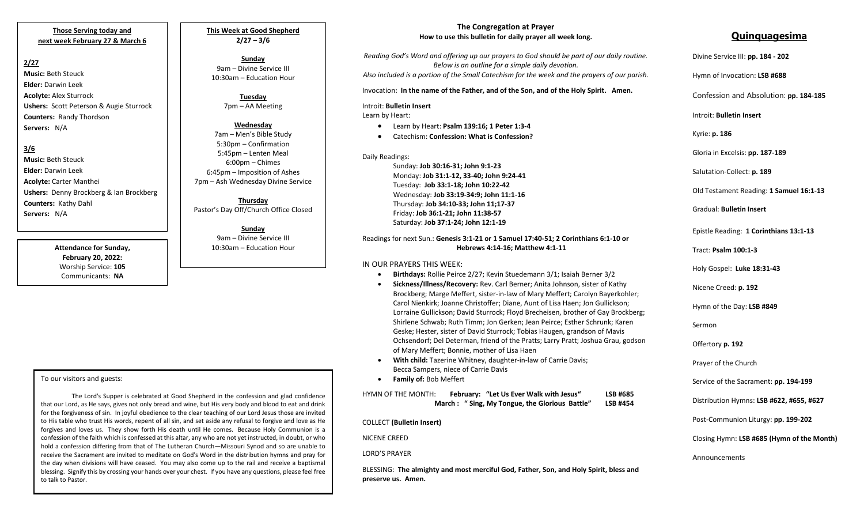## **Those Serving today and next week February 27 & March 6**

# **2/27**

**Music:** Beth Steuck **Elder:** Darwin Leek **Acolyte:** Alex Sturrock **Ushers:** Scott Peterson & Augie Sturrock **Counters:** Randy Thordson **Servers:** N/A

# **3/6**

**Music:** Beth Steuck **Elder:** Darwin Leek **Acolyte:** Carter Manthei **Ushers:** Denny Brockberg & Ian Brockberg **Counters:** Kathy Dahl **Servers:** N/A

> **Attendance for Sunday, February 20, 2022:** Worship Service: **105** Communicants: **NA**

**This Week at Good Shepherd 2/27 – 3/6**

**Sunday**  9am – Divine Service III 10:30am – Education Hour

> **Tuesday** 7pm – AA Meeting

### **Wednesday**

7am – Men's Bible Study 5:30pm – Confirmation 5:45pm – Lenten Meal 6:00pm – Chimes 6:45pm – Imposition of Ashes 7pm – Ash Wednesday Divine Service

**Thursday** Pastor's Day Off/Church Office Closed

**Sunday** 9am – Divine Service III 10:30am – Education Hour

## **The Congregation at Prayer How to use this bulletin for daily prayer all week long.**

*Reading God's Word and offering up our prayers to God should be part of our daily routine. Below is an outline for a simple daily devotion. Also included is a portion of the Small Catechism for the week and the prayers of our parish.* Invocation: **In the name of the Father, and of the Son, and of the Holy Spirit. Amen.**

### Introit: **Bulletin Insert**

Learn by Heart:

- Learn by Heart: **Psalm 139:16; 1 Peter 1:3-4**
- Catechism: **Confession: What is Confession?**

Daily Readings:

Sunday: **Job 30:16-31; John 9:1-23** Monday: **Job 31:1-12, 33-40; John 9:24-41** Tuesday: **Job 33:1-18; John 10:22-42** Wednesday: **Job 33:19-34:9; John 11:1-16** Thursday: **Job 34:10-33; John 11;17-37** Friday: **Job 36:1-21; John 11:38-57** Saturday: **Job 37:1-24; John 12:1-19**

# Readings for next Sun.: **Genesis 3:1-21 or 1 Samuel 17:40-51; 2 Corinthians 6:1-10 or Hebrews 4:14-16; Matthew 4:1-11**

# IN OUR PRAYERS THIS WEEK:

- **Birthdays:** Rollie Peirce 2/27; Kevin Stuedemann 3/1; Isaiah Berner 3/2
- **Sickness/Illness/Recovery:** Rev. Carl Berner; Anita Johnson, sister of Kathy Brockberg; Marge Meffert, sister-in-law of Mary Meffert; Carolyn Bayerkohler; Carol Nienkirk; Joanne Christoffer; Diane, Aunt of Lisa Haen; Jon Gullickson; Lorraine Gullickson; David Sturrock; Floyd Brecheisen, brother of Gay Brockberg; Shirlene Schwab; Ruth Timm; Jon Gerken; Jean Peirce; Esther Schrunk; Karen Geske; Hester, sister of David Sturrock; Tobias Haugen, grandson of Mavis Ochsendorf; Del Determan, friend of the Pratts; Larry Pratt; Joshua Grau, godson of Mary Meffert; Bonnie, mother of Lisa Haen
- **With child:** Tazerine Whitney, daughter-in-law of Carrie Davis; Becca Sampers, niece of Carrie Davis
- **Family of:** Bob Meffert

 **March : " Sing, My Tongue, the Glorious Battle" LSB #454** HYMN OF THE MONTH: **February: "Let Us Ever Walk with Jesus" LSB #685**

# COLLECT **(Bulletin Insert)**

NICENE CREED

LORD'S PRAYER

BLESSING: **The almighty and most merciful God, Father, Son, and Holy Spirit, bless and preserve us. Amen.**

# **Quinquagesima**

| Divine Service III: pp. 184 - 202            |
|----------------------------------------------|
| Hymn of Invocation: LSB #688                 |
| Confession and Absolution: pp. 184-185       |
| Introit: <b>Bulletin Insert</b>              |
| Kyrie: <b>p. 186</b>                         |
| Gloria in Excelsis: pp. 187-189              |
| Salutation-Collect: p. 189                   |
| Old Testament Reading: 1 Samuel 16:1-13      |
| <b>Gradual: Bulletin Insert</b>              |
| Epistle Reading: 1 Corinthians 13:1-13       |
| Tract: Psalm 100:1-3                         |
| Holy Gospel: Luke 18:31-43                   |
| Nicene Creed: p. 192                         |
| Hymn of the Day: LSB #849                    |
| Sermon                                       |
| Offertory p. 192                             |
| Prayer of the Church                         |
| Service of the Sacrament: <b>pp. 194-199</b> |
| Distribution Hymns: LSB #622, #655, #627     |
| Post-Communion Liturgy: pp. 199-202          |
| Closing Hymn: LSB #685 (Hymn of the Month)   |
| Announcements                                |
|                                              |

### To our visitors and guests:

the day when divisions will have ceased. Tou hiay also come up to the rail and receive a baptismar<br>blessing. Signify this by crossing your hands over your chest. If you have any questions, please feel free The Lord's Supper is celebrated at Good Shepherd in the confession and glad confidence that our Lord, as He says, gives not only bread and wine, but His very body and blood to eat and drink for the forgiveness of sin. In joyful obedience to the clear teaching of our Lord Jesus those are invited to His table who trust His words, repent of all sin, and set aside any refusal to forgive and love as He forgives and loves us. They show forth His death until He comes. Because Holy Communion is a confession of the faith which is confessed at this altar, any who are not yet instructed, in doubt, or who hold a confession differing from that of The Lutheran Church—Missouri Synod and so are unable to receive the Sacrament are invited to meditate on God's Word in the distribution hymns and pray for the day when divisions will have ceased. You may also come up to the rail and receive a baptismal to talk to Pastor.